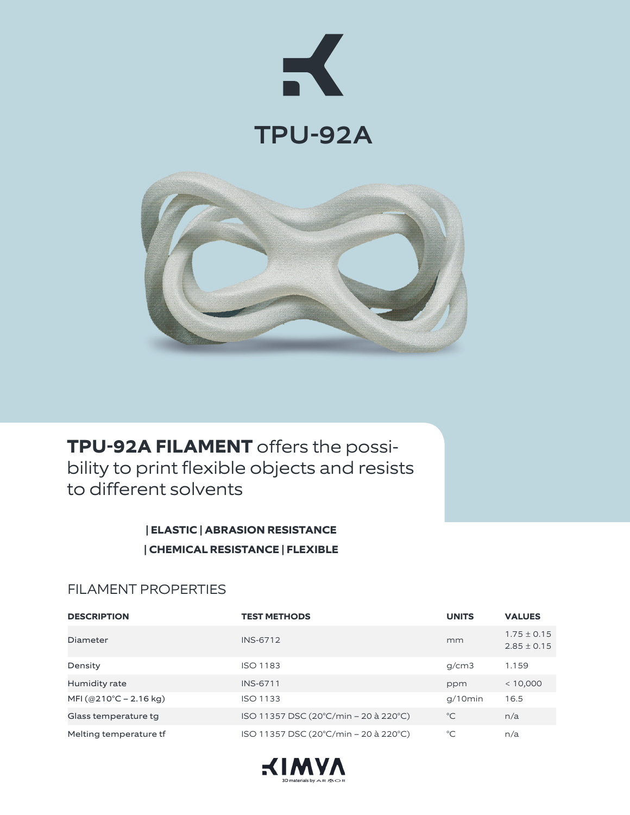



**TPU-92A FILAMENT** offers the possibility to print flexible objects and resists to different solvents

> **| ELASTIC | ABRASION RESISTANCE | CHEMICAL RESISTANCE | FLEXIBLE**

## FILAMENT PROPERTIES

| <b>DESCRIPTION</b>     | <b>TEST METHODS</b>                   | <b>UNITS</b> | <b>VALUES</b>                      |
|------------------------|---------------------------------------|--------------|------------------------------------|
| Diameter               | <b>INS-6712</b>                       | mm           | $1.75 \pm 0.15$<br>$2.85 \pm 0.15$ |
| Density                | <b>ISO 1183</b>                       | q/cm3        | 1.159                              |
| Humidity rate          | <b>INS-6711</b>                       | ppm          | < 10,000                           |
| MFI (@210°C – 2.16 kg) | <b>ISO 1133</b>                       | $q/10$ min   | 16.5                               |
| Glass temperature tg   | ISO 11357 DSC (20°C/min – 20 à 220°C) | $^{\circ}C$  | n/a                                |
| Melting temperature tf | ISO 11357 DSC (20°C/min - 20 à 220°C) | $^{\circ}C$  | n/a                                |